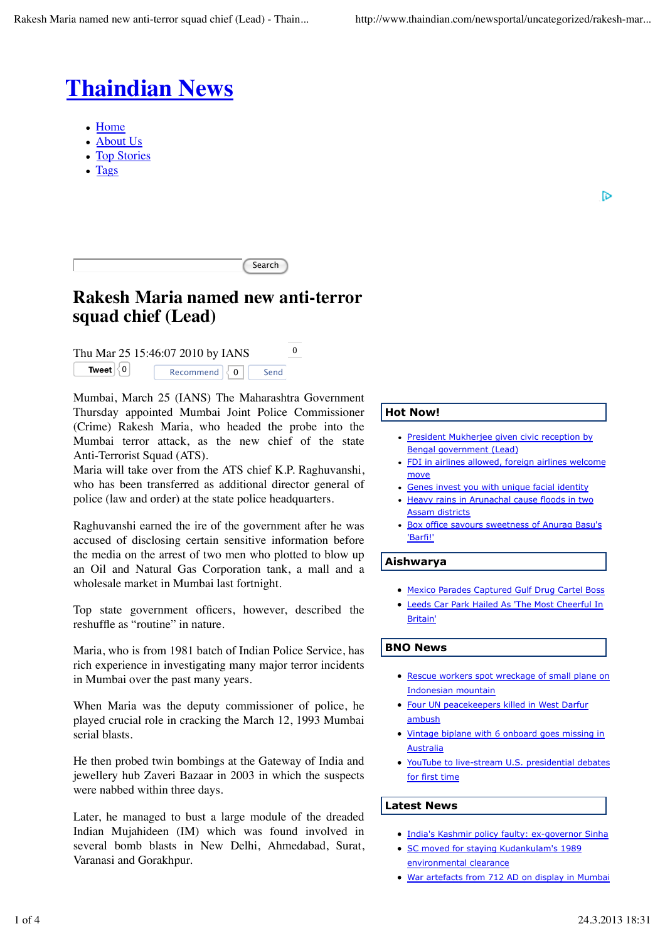

- Home
- About Us
- Top Stories
- Tags

D

| $\sim$ $ -$ |
|-------------|
|             |

# **Rakesh Maria named new anti-terror squad chief (Lead)**

Thu Mar 25 15:46:07 2010 by IANS  $^{0}$ **Tweet**  $\begin{bmatrix} 0 \\ 0 \end{bmatrix}$ Recommend  $\overline{0}$  Send

Mumbai, March 25 (IANS) The Maharashtra Government Thursday appointed Mumbai Joint Police Commissioner (Crime) Rakesh Maria, who headed the probe into the Mumbai terror attack, as the new chief of the state Anti-Terrorist Squad (ATS).

Maria will take over from the ATS chief K.P. Raghuvanshi, who has been transferred as additional director general of police (law and order) at the state police headquarters.

Raghuvanshi earned the ire of the government after he was accused of disclosing certain sensitive information before the media on the arrest of two men who plotted to blow up an Oil and Natural Gas Corporation tank, a mall and a wholesale market in Mumbai last fortnight.

Top state government officers, however, described the reshuffle as "routine" in nature.

Maria, who is from 1981 batch of Indian Police Service, has rich experience in investigating many major terror incidents in Mumbai over the past many years.

When Maria was the deputy commissioner of police, he played crucial role in cracking the March 12, 1993 Mumbai serial blasts.

He then probed twin bombings at the Gateway of India and jewellery hub Zaveri Bazaar in 2003 in which the suspects were nabbed within three days.

Later, he managed to bust a large module of the dreaded Indian Mujahideen (IM) which was found involved in several bomb blasts in New Delhi, Ahmedabad, Surat, Varanasi and Gorakhpur.

# **Hot Now!**

- President Mukherjee given civic reception by Bengal government (Lead)
- FDI in airlines allowed, foreign airlines welcome move
- Genes invest you with unique facial identity
- Heavy rains in Arunachal cause floods in two Assam districts
- Box office savours sweetness of Anurag Basu's  $\bullet$ 'Barfi!'

# **Aishwarya**

- Mexico Parades Captured Gulf Drug Cartel Boss
- Leeds Car Park Hailed As 'The Most Cheerful In Britain'

# **BNO News**

- Rescue workers spot wreckage of small plane on Indonesian mountain
- **Four UN peacekeepers killed in West Darfur** ambush
- Vintage biplane with 6 onboard goes missing in **Australia**
- YouTube to live-stream U.S. presidential debates for first time

# **Latest News**

- India's Kashmir policy faulty: ex-governor Sinha
- SC moved for staying Kudankulam's 1989 environmental clearance
- War artefacts from 712 AD on display in Mumbai